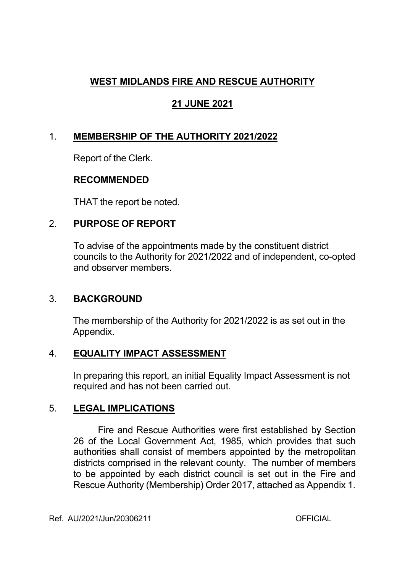# **WEST MIDLANDS FIRE AND RESCUE AUTHORITY**

# **21 JUNE 2021**

# 1. **MEMBERSHIP OF THE AUTHORITY 2021/2022**

Report of the Clerk.

### **RECOMMENDED**

THAT the report be noted.

## 2. **PURPOSE OF REPORT**

To advise of the appointments made by the constituent district councils to the Authority for 2021/2022 and of independent, co-opted and observer members.

## 3. **BACKGROUND**

The membership of the Authority for 2021/2022 is as set out in the Appendix.

## 4. **EQUALITY IMPACT ASSESSMENT**

In preparing this report, an initial Equality Impact Assessment is not required and has not been carried out.

## 5. **LEGAL IMPLICATIONS**

Fire and Rescue Authorities were first established by Section 26 of the Local Government Act, 1985, which provides that such authorities shall consist of members appointed by the metropolitan districts comprised in the relevant county. The number of members to be appointed by each district council is set out in the Fire and Rescue Authority (Membership) Order 2017, attached as Appendix 1.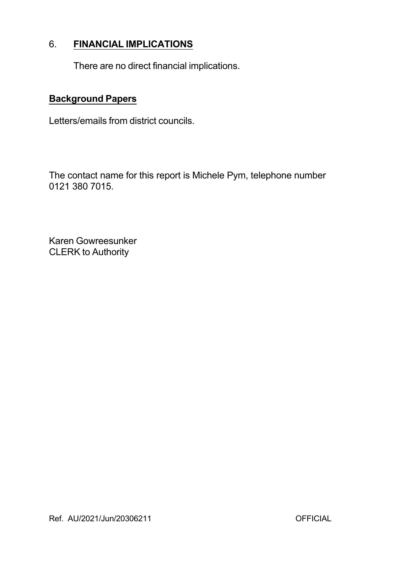## 6. **FINANCIAL IMPLICATIONS**

There are no direct financial implications.

### **Background Papers**

Letters/emails from district councils.

The contact name for this report is Michele Pym, telephone number 0121 380 7015.

Karen Gowreesunker CLERK to Authority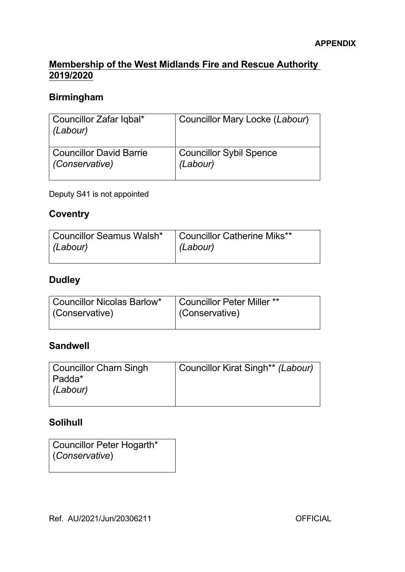#### **Membership of the West Midlands Fire and Rescue Authority 2019/2020**

# **Birmingham**

| Councillor Zafar Iqbal*<br>(Labour) | Councillor Mary Locke (Labour) |
|-------------------------------------|--------------------------------|
| Councillor David Barrie             | <b>Councillor Sybil Spence</b> |
| (Conservative)                      | (Labour)                       |

Deputy S41 is not appointed

### **Coventry**

| Councillor Seamus Walsh* | Councillor Catherine Miks** |
|--------------------------|-----------------------------|
| (Labour)                 | (Labour)                    |
|                          |                             |

# **Dudley**

| <b>Councillor Nicolas Barlow*</b> | Councillor Peter Miller ** |
|-----------------------------------|----------------------------|
| (Conservative)                    | (Conservative)             |
|                                   |                            |

## **Sandwell**

# **Solihull**

| Councillor Peter Hogarth* |  |
|---------------------------|--|
| (Conservative)            |  |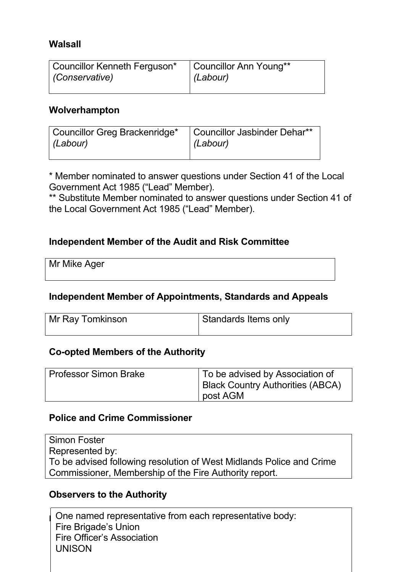### **Walsall**

| Councillor Kenneth Ferguson* | Councillor Ann Young** |
|------------------------------|------------------------|
| (Conservative)               | $ $ (Labour)           |
|                              |                        |

#### **Wolverhampton**

| <b>Councillor Greg Brackenridge*</b> | Councillor Jasbinder Dehar** |
|--------------------------------------|------------------------------|
| (Labour)                             | $ $ (Labour)                 |
|                                      |                              |

\* Member nominated to answer questions under Section 41 of the Local Government Act 1985 ("Lead" Member).

\*\* Substitute Member nominated to answer questions under Section 41 of the Local Government Act 1985 ("Lead" Member).

#### **Independent Member of the Audit and Risk Committee**

Mr Mike Ager

#### **Independent Member of Appointments, Standards and Appeals**

| Mr Ray Tomkinson | Standards Items only |
|------------------|----------------------|
|                  |                      |

#### **Co-opted Members of the Authority**

| <b>Professor Simon Brake</b> | To be advised by Association of<br><b>Black Country Authorities (ABCA)</b><br>∣ post AGM |
|------------------------------|------------------------------------------------------------------------------------------|
|------------------------------|------------------------------------------------------------------------------------------|

#### **Police and Crime Commissioner**

Simon Foster Represented by: To be advised following resolution of West Midlands Police and Crime Commissioner, Membership of the Fire Authority report.

#### **Observers to the Authority**

One named representative from each representative body: Fire Brigade's Union Fire Officer's Association UNISON